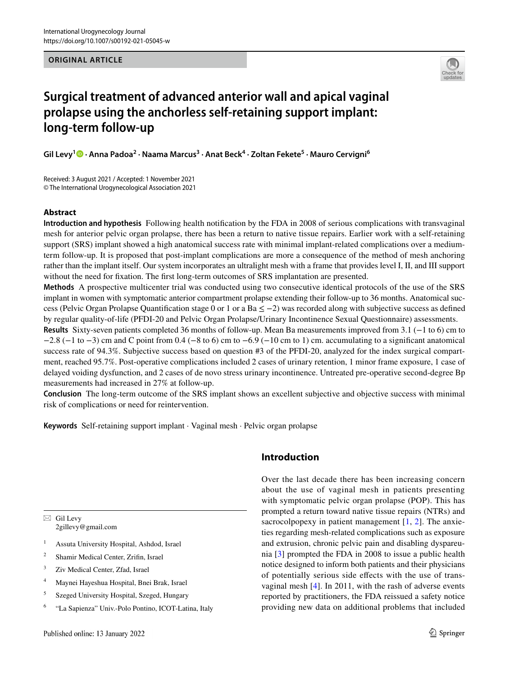**ORIGINAL ARTICLE**



# **Surgical treatment of advanced anterior wall and apical vaginal prolapse using the anchorless self-retaining support implant: long-term follow-up**

 $\mathsf{Gil}\ \mathsf{Levy}^1\textcolor{red}{\bf\textcolor{blue}{\bf\textcolor{blue}{\bf\textcolor{blue}{\bf\textcolor{blue}{\bf\textcolor{blue}{\bf\textcolor{blue}{\bf\textcolor{blue}{\bf\textcolor{blue}{\bf\textcolor{blue}{\bf\textcolor{blue}{\bf\textcolor{blue}{\bf\textcolor{blue}{\bf\textcolor{blue}{\bf\textcolor{blue}{\bf\textcolor{blue}{\bf\textcolor{blue}{\bf\textcolor{blue}{\bf\textcolor{blue}{\bf\textcolor{blue}{\bf\textcolor{blue}{\bf\textcolor{blue}{\bf\textcolor{blue}{\bf\textcolor{blue}{\bf\textcolor{blue}{\bf\textcolor{blue$ 

Received: 3 August 2021 / Accepted: 1 November 2021 © The International Urogynecological Association 2021

#### **Abstract**

**Introduction and hypothesis** Following health notifcation by the FDA in 2008 of serious complications with transvaginal mesh for anterior pelvic organ prolapse, there has been a return to native tissue repairs. Earlier work with a self-retaining support (SRS) implant showed a high anatomical success rate with minimal implant-related complications over a mediumterm follow-up. It is proposed that post-implant complications are more a consequence of the method of mesh anchoring rather than the implant itself. Our system incorporates an ultralight mesh with a frame that provides level I, II, and III support without the need for fixation. The first long-term outcomes of SRS implantation are presented.

**Methods** A prospective multicenter trial was conducted using two consecutive identical protocols of the use of the SRS implant in women with symptomatic anterior compartment prolapse extending their follow-up to 36 months. Anatomical success (Pelvic Organ Prolapse Quantification stage 0 or 1 or a Ba  $\leq$  -2) was recorded along with subjective success as defined by regular quality-of-life (PFDI-20 and Pelvic Organ Prolapse/Urinary Incontinence Sexual Questionnaire) assessments.

**Results** Sixty-seven patients completed 36 months of follow-up. Mean Ba measurements improved from 3.1 (−1 to 6) cm to  $-2.8$  ( $-1$  to  $-3$ ) cm and C point from 0.4 ( $-8$  to 6) cm to  $-6.9$  ( $-10$  cm to 1) cm. accumulating to a significant anatomical success rate of 94.3%. Subjective success based on question #3 of the PFDI-20, analyzed for the index surgical compartment, reached 95.7%. Post-operative complications included 2 cases of urinary retention, 1 minor frame exposure, 1 case of delayed voiding dysfunction, and 2 cases of de novo stress urinary incontinence. Untreated pre-operative second-degree Bp measurements had increased in 27% at follow-up.

**Conclusion** The long-term outcome of the SRS implant shows an excellent subjective and objective success with minimal risk of complications or need for reintervention.

**Keywords** Self-retaining support implant · Vaginal mesh · Pelvic organ prolapse

 $\boxtimes$  Gil Levy 2gillevy@gmail.com

- <sup>1</sup> Assuta University Hospital, Ashdod, Israel
- <sup>2</sup> Shamir Medical Center, Zrifn, Israel
- <sup>3</sup> Ziv Medical Center, Zfad, Israel
- <sup>4</sup> Maynei Hayeshua Hospital, Bnei Brak, Israel
- <sup>5</sup> Szeged University Hospital, Szeged, Hungary
- <sup>6</sup> "La Sapienza" Univ.-Polo Pontino, ICOT-Latina, Italy

## **Introduction**

Over the last decade there has been increasing concern about the use of vaginal mesh in patients presenting with symptomatic pelvic organ prolapse (POP). This has prompted a return toward native tissue repairs (NTRs) and sacrocolpopexy in patient management [[1,](#page-7-0) [2\]](#page-7-1). The anxieties regarding mesh-related complications such as exposure and extrusion, chronic pelvic pain and disabling dyspareunia [[3\]](#page-7-2) prompted the FDA in 2008 to issue a public health notice designed to inform both patients and their physicians of potentially serious side efects with the use of transvaginal mesh [\[4\]](#page-7-3). In 2011, with the rash of adverse events reported by practitioners, the FDA reissued a safety notice providing new data on additional problems that included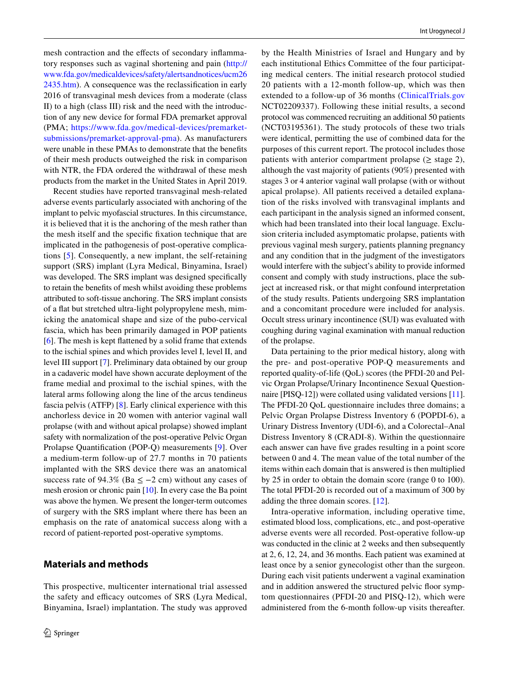mesh contraction and the effects of secondary inflammatory responses such as vaginal shortening and pain ([http://](http://www.fda.gov/medicaldevices/safety/alertsandnotices/ucm262435.htm) [www.fda.gov/medicaldevices/safety/alertsandnotices/ucm26](http://www.fda.gov/medicaldevices/safety/alertsandnotices/ucm262435.htm) [2435.htm](http://www.fda.gov/medicaldevices/safety/alertsandnotices/ucm262435.htm)). A consequence was the reclassifcation in early 2016 of transvaginal mesh devices from a moderate (class II) to a high (class III) risk and the need with the introduction of any new device for formal FDA premarket approval (PMA; [https://www.fda.gov/medical-devices/premarket](https://www.fda.gov/medical-devices/premarket-submissions/premarket-approval-pma)[submissions/premarket-approval-pma\)](https://www.fda.gov/medical-devices/premarket-submissions/premarket-approval-pma). As manufacturers were unable in these PMAs to demonstrate that the benefts of their mesh products outweighed the risk in comparison with NTR, the FDA ordered the withdrawal of these mesh products from the market in the United States in April 2019.

Recent studies have reported transvaginal mesh-related adverse events particularly associated with anchoring of the implant to pelvic myofascial structures. In this circumstance, it is believed that it is the anchoring of the mesh rather than the mesh itself and the specifc fxation technique that are implicated in the pathogenesis of post-operative complications [[5\]](#page-7-4). Consequently, a new implant, the self-retaining support (SRS) implant (Lyra Medical, Binyamina, Israel) was developed. The SRS implant was designed specifcally to retain the benefts of mesh whilst avoiding these problems attributed to soft-tissue anchoring. The SRS implant consists of a fat but stretched ultra-light polypropylene mesh, mimicking the anatomical shape and size of the pubo-cervical fascia, which has been primarily damaged in POP patients [\[6](#page-8-0)]. The mesh is kept fattened by a solid frame that extends to the ischial spines and which provides level I, level II, and level III support [\[7](#page-8-1)]. Preliminary data obtained by our group in a cadaveric model have shown accurate deployment of the frame medial and proximal to the ischial spines, with the lateral arms following along the line of the arcus tendineus fascia pelvis (ATFP) [\[8](#page-8-2)]. Early clinical experience with this anchorless device in 20 women with anterior vaginal wall prolapse (with and without apical prolapse) showed implant safety with normalization of the post-operative Pelvic Organ Prolapse Quantifcation (POP-Q) measurements [[9](#page-8-3)]. Over a medium-term follow-up of 27.7 months in 70 patients implanted with the SRS device there was an anatomical success rate of 94.3% (Ba  $\leq -2$  cm) without any cases of mesh erosion or chronic pain [[10\]](#page-8-4). In every case the Ba point was above the hymen. We present the longer-term outcomes of surgery with the SRS implant where there has been an emphasis on the rate of anatomical success along with a record of patient-reported post-operative symptoms.

# **Materials and methods**

This prospective, multicenter international trial assessed the safety and efficacy outcomes of SRS (Lyra Medical, Binyamina, Israel) implantation. The study was approved by the Health Ministries of Israel and Hungary and by each institutional Ethics Committee of the four participating medical centers. The initial research protocol studied 20 patients with a 12-month follow-up, which was then extended to a follow-up of 36 months [\(ClinicalTrials.gov](http://clinicaltrials.gov) NCT02209337). Following these initial results, a second protocol was commenced recruiting an additional 50 patients (NCT03195361). The study protocols of these two trials were identical, permitting the use of combined data for the purposes of this current report. The protocol includes those patients with anterior compartment prolapse ( $\geq$  stage 2), although the vast majority of patients (90%) presented with stages 3 or 4 anterior vaginal wall prolapse (with or without apical prolapse). All patients received a detailed explanation of the risks involved with transvaginal implants and each participant in the analysis signed an informed consent, which had been translated into their local language. Exclusion criteria included asymptomatic prolapse, patients with previous vaginal mesh surgery, patients planning pregnancy and any condition that in the judgment of the investigators would interfere with the subject's ability to provide informed consent and comply with study instructions, place the subject at increased risk, or that might confound interpretation of the study results. Patients undergoing SRS implantation and a concomitant procedure were included for analysis. Occult stress urinary incontinence (SUI) was evaluated with coughing during vaginal examination with manual reduction of the prolapse.

Data pertaining to the prior medical history, along with the pre- and post-operative POP-Q measurements and reported quality-of-life (QoL) scores (the PFDI-20 and Pelvic Organ Prolapse/Urinary Incontinence Sexual Questionnaire [PISQ-12]) were collated using validated versions [[11](#page-8-5)]. The PFDI-20 QoL questionnaire includes three domains; a Pelvic Organ Prolapse Distress Inventory 6 (POPDI-6), a Urinary Distress Inventory (UDI-6), and a Colorectal–Anal Distress Inventory 8 (CRADI-8). Within the questionnaire each answer can have five grades resulting in a point score between 0 and 4. The mean value of the total number of the items within each domain that is answered is then multiplied by 25 in order to obtain the domain score (range 0 to 100). The total PFDI-20 is recorded out of a maximum of 300 by adding the three domain scores. [[12](#page-8-6)].

Intra-operative information, including operative time, estimated blood loss, complications, etc., and post-operative adverse events were all recorded. Post-operative follow-up was conducted in the clinic at 2 weeks and then subsequently at 2, 6, 12, 24, and 36 months. Each patient was examined at least once by a senior gynecologist other than the surgeon. During each visit patients underwent a vaginal examination and in addition answered the structured pelvic foor symptom questionnaires (PFDI-20 and PISQ-12), which were administered from the 6-month follow-up visits thereafter.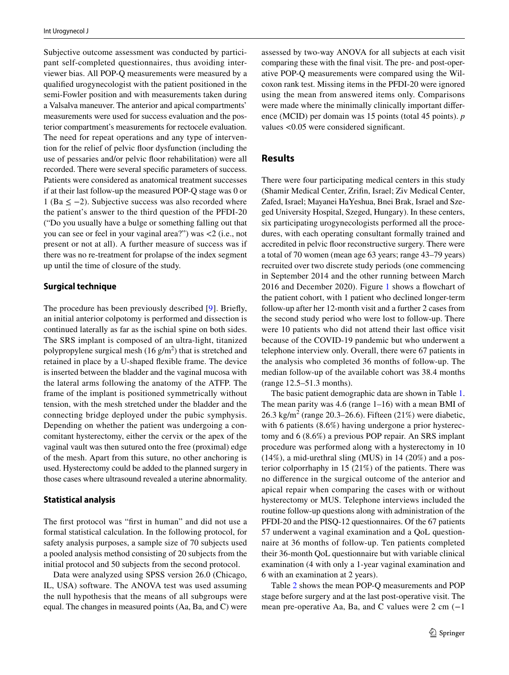Subjective outcome assessment was conducted by participant self-completed questionnaires, thus avoiding interviewer bias. All POP-Q measurements were measured by a qualifed urogynecologist with the patient positioned in the semi-Fowler position and with measurements taken during a Valsalva maneuver. The anterior and apical compartments' measurements were used for success evaluation and the posterior compartment's measurements for rectocele evaluation. The need for repeat operations and any type of intervention for the relief of pelvic foor dysfunction (including the use of pessaries and/or pelvic foor rehabilitation) were all recorded. There were several specifc parameters of success. Patients were considered as anatomical treatment successes if at their last follow-up the measured POP-Q stage was 0 or 1 (Ba  $\leq$  −2). Subjective success was also recorded where the patient's answer to the third question of the PFDI-20 ("Do you usually have a bulge or something falling out that you can see or feel in your vaginal area?") was <2 (i.e., not present or not at all). A further measure of success was if there was no re-treatment for prolapse of the index segment up until the time of closure of the study.

#### **Surgical technique**

The procedure has been previously described [\[9\]](#page-8-3). Briefy, an initial anterior colpotomy is performed and dissection is continued laterally as far as the ischial spine on both sides. The SRS implant is composed of an ultra-light, titanized polypropylene surgical mesh  $(16 \text{ g/m}^2)$  that is stretched and retained in place by a U-shaped fexible frame. The device is inserted between the bladder and the vaginal mucosa with the lateral arms following the anatomy of the ATFP. The frame of the implant is positioned symmetrically without tension, with the mesh stretched under the bladder and the connecting bridge deployed under the pubic symphysis. Depending on whether the patient was undergoing a concomitant hysterectomy, either the cervix or the apex of the vaginal vault was then sutured onto the free (proximal) edge of the mesh. Apart from this suture, no other anchoring is used. Hysterectomy could be added to the planned surgery in those cases where ultrasound revealed a uterine abnormality.

#### **Statistical analysis**

The frst protocol was "frst in human" and did not use a formal statistical calculation. In the following protocol, for safety analysis purposes, a sample size of 70 subjects used a pooled analysis method consisting of 20 subjects from the initial protocol and 50 subjects from the second protocol.

Data were analyzed using SPSS version 26.0 (Chicago, IL, USA) software. The ANOVA test was used assuming the null hypothesis that the means of all subgroups were equal. The changes in measured points (Aa, Ba, and C) were assessed by two-way ANOVA for all subjects at each visit comparing these with the fnal visit. The pre- and post-operative POP-Q measurements were compared using the Wilcoxon rank test. Missing items in the PFDI-20 were ignored using the mean from answered items only. Comparisons were made where the minimally clinically important diference (MCID) per domain was 15 points (total 45 points). *p* values <0.05 were considered signifcant.

# **Results**

There were four participating medical centers in this study (Shamir Medical Center, Zrifn, Israel; Ziv Medical Center, Zafed, Israel; Mayanei HaYeshua, Bnei Brak, Israel and Szeged University Hospital, Szeged, Hungary). In these centers, six participating urogynecologists performed all the procedures, with each operating consultant formally trained and accredited in pelvic foor reconstructive surgery. There were a total of 70 women (mean age 63 years; range 43–79 years) recruited over two discrete study periods (one commencing in September 2014 and the other running between March 2016 and December 2020). Figure [1](#page-3-0) shows a fowchart of the patient cohort, with 1 patient who declined longer-term follow-up after her 12-month visit and a further 2 cases from the second study period who were lost to follow-up. There were 10 patients who did not attend their last office visit because of the COVID-19 pandemic but who underwent a telephone interview only. Overall, there were 67 patients in the analysis who completed 36 months of follow-up. The median follow-up of the available cohort was 38.4 months (range 12.5–51.3 months).

The basic patient demographic data are shown in Table [1.](#page-3-1) The mean parity was  $4.6$  (range  $1-16$ ) with a mean BMI of 26.3 kg/m<sup>2</sup> (range 20.3–26.6). Fifteen  $(21\%)$  were diabetic, with 6 patients (8.6%) having undergone a prior hysterectomy and 6 (8.6%) a previous POP repair. An SRS implant procedure was performed along with a hysterectomy in 10  $(14\%)$ , a mid-urethral sling (MUS) in 14 (20%) and a posterior colporrhaphy in 15 (21%) of the patients. There was no diference in the surgical outcome of the anterior and apical repair when comparing the cases with or without hysterectomy or MUS. Telephone interviews included the routine follow-up questions along with administration of the PFDI-20 and the PISQ-12 questionnaires. Of the 67 patients 57 underwent a vaginal examination and a QoL questionnaire at 36 months of follow-up. Ten patients completed their 36-month QoL questionnaire but with variable clinical examination (4 with only a 1-year vaginal examination and 6 with an examination at 2 years).

Table [2](#page-3-2) shows the mean POP-Q measurements and POP stage before surgery and at the last post-operative visit. The mean pre-operative Aa, Ba, and C values were  $2 \text{ cm } (-1)$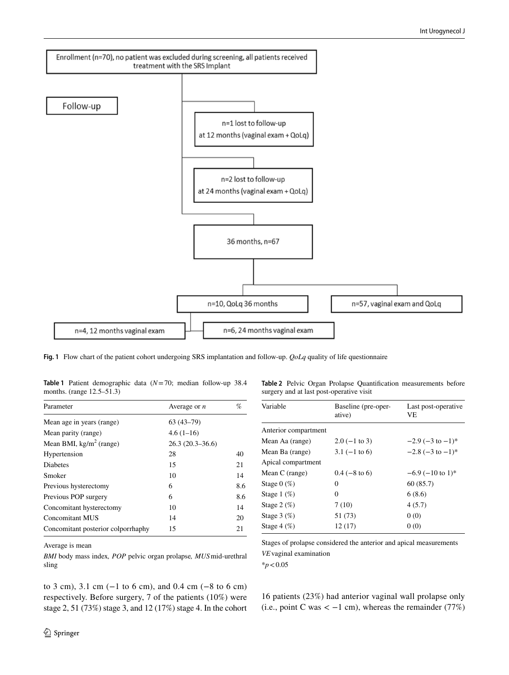

<span id="page-3-0"></span>**Fig. 1** Flow chart of the patient cohort undergoing SRS implantation and follow-up. *QoLq* quality of life questionnaire

<span id="page-3-1"></span>

|  | Table 1 Patient demographic data $(N=70)$ ; median follow-up 38.4 |  |  |  |
|--|-------------------------------------------------------------------|--|--|--|
|  | months. (range $12.5-51.3$ )                                      |  |  |  |

| Parameter                          | Average or $n$    | %   |
|------------------------------------|-------------------|-----|
| Mean age in years (range)          | $63(43-79)$       |     |
| Mean parity (range)                | $4.6(1-16)$       |     |
| Mean BMI, $\text{kg/m}^2$ (range)  | $26.3(20.3-36.6)$ |     |
| Hypertension                       | 28                | 40  |
| <b>Diabetes</b>                    | 15                | 21  |
| Smoker                             | 10                | 14  |
| Previous hysterectomy              | 6                 | 8.6 |
| Previous POP surgery               | 6                 | 8.6 |
| Concomitant hysterectomy           | 10                | 14  |
| Concomitant MUS                    | 14                | 20  |
| Concomitant posterior colporrhaphy | 15                | 21  |

Average is mean

*BMI* body mass index*, POP* pelvic organ prolapse*, MUS*mid-urethral sling

to 3 cm), 3.1 cm (−1 to 6 cm), and 0.4 cm (−8 to 6 cm) respectively. Before surgery, 7 of the patients (10%) were stage 2, 51 (73%) stage 3, and 12 (17%) stage 4. In the cohort <span id="page-3-2"></span>**Table 2** Pelvic Organ Prolapse Quantifcation measurements before surgery and at last post-operative visit

| Variable                    | Baseline (pre-oper-<br>ative) | Last post-operative<br>VE.        |
|-----------------------------|-------------------------------|-----------------------------------|
| Anterior compartment        |                               |                                   |
| Mean Aa (range)             | $2.0$ (-1 to 3)               | $-2.9$ ( $-3$ to $-1$ )*          |
| Mean Ba (range)             | $3.1 (-1 to 6)$               | $-2.8$ ( $-3$ to $-1$ )*          |
| Apical compartment          |                               |                                   |
| Mean C (range)              | $0.4$ (-8 to 6)               | $-6.9$ ( $-10$ to 1) <sup>*</sup> |
| Stage $0 \ (\%)$            | 0                             | 60(85.7)                          |
| Stage $1\ (\%)$             | 0                             | 6(8.6)                            |
| Stage $2 \left( \% \right)$ | 7(10)                         | 4(5.7)                            |
| Stage $3 \left( % \right)$  | 51 (73)                       | 0(0)                              |
| Stage $4 \ (\%)$            | 12(17)                        | 0(0)                              |

Stages of prolapse considered the anterior and apical measurements *VE*vaginal examination \**p*<0.05

16 patients (23%) had anterior vaginal wall prolapse only (i.e., point C was  $<-1$  cm), whereas the remainder (77%)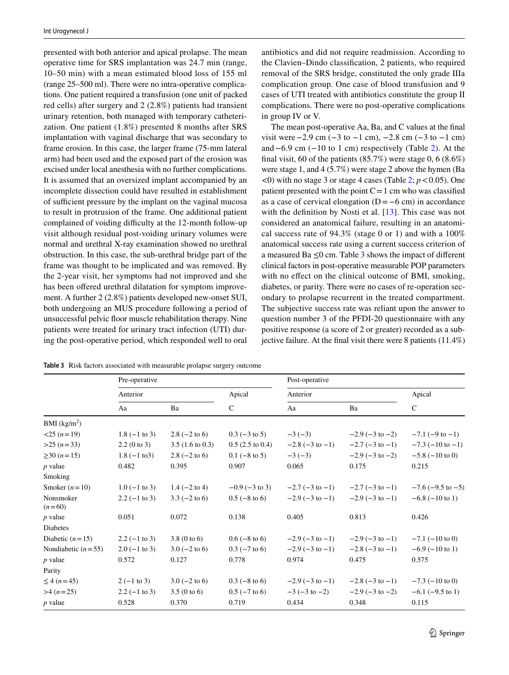presented with both anterior and apical prolapse. The mean operative time for SRS implantation was 24.7 min (range, 10–50 min) with a mean estimated blood loss of 155 ml (range 25–500 ml). There were no intra-operative complications. One patient required a transfusion (one unit of packed red cells) after surgery and 2 (2.8%) patients had transient urinary retention, both managed with temporary catheterization. One patient (1.8%) presented 8 months after SRS implantation with vaginal discharge that was secondary to frame erosion. In this case, the larger frame (75-mm lateral arm) had been used and the exposed part of the erosion was excised under local anesthesia with no further complications. It is assumed that an oversized implant accompanied by an incomplete dissection could have resulted in establishment of sufficient pressure by the implant on the vaginal mucosa to result in protrusion of the frame. One additional patient complained of voiding difficulty at the 12-month follow-up visit although residual post-voiding urinary volumes were normal and urethral X-ray examination showed no urethral obstruction. In this case, the sub-urethral bridge part of the frame was thought to be implicated and was removed. By the 2-year visit, her symptoms had not improved and she has been offered urethral dilatation for symptom improvement. A further 2 (2.8%) patients developed new-onset SUI, both undergoing an MUS procedure following a period of unsuccessful pelvic foor muscle rehabilitation therapy. Nine patients were treated for urinary tract infection (UTI) during the post-operative period, which responded well to oral antibiotics and did not require readmission. According to the Clavien–Dindo classifcation, 2 patients, who required removal of the SRS bridge, constituted the only grade IIIa complication group. One case of blood transfusion and 9 cases of UTI treated with antibiotics constitute the group II complications. There were no post-operative complications in group IV or V.

The mean post-operative Aa, Ba, and C values at the fnal visit were  $-2.9$  cm  $(-3$  to  $-1$  cm),  $-2.8$  cm  $(-3$  to  $-1$  cm) and−6.9 cm (−10 to 1 cm) respectively (Table [2\)](#page-3-2). At the final visit, 60 of the patients  $(85.7%)$  were stage 0, 6  $(8.6%)$ were stage 1, and 4 (5.7%) were stage 2 above the hymen (Ba  $\leq$ 0) with no stage 3 or stage 4 cases (Table [2;](#page-3-2) *p*  $\leq$  0.05). One patient presented with the point  $C=1$  cm who was classified as a case of cervical elongation (D=−6 cm) in accordance with the definition by Nosti et al. [[13](#page-8-7)]. This case was not considered an anatomical failure, resulting in an anatomical success rate of 94.3% (stage 0 or 1) and with a 100% anatomical success rate using a current success criterion of a measured Ba  $\leq 0$  cm. Table [3](#page-4-0) shows the impact of different clinical factors in post-operative measurable POP parameters with no effect on the clinical outcome of BMI, smoking, diabetes, or parity. There were no cases of re-operation secondary to prolapse recurrent in the treated compartment. The subjective success rate was reliant upon the answer to question number 3 of the PFDI-20 questionnaire with any positive response (a score of 2 or greater) recorded as a subjective failure. At the fnal visit there were 8 patients (11.4%)

<span id="page-4-0"></span>

| Table 3 Risk factors associated with measurable prolapse surgery outcome |
|--------------------------------------------------------------------------|
|--------------------------------------------------------------------------|

|                            | Pre-operative           |                            |                            | Post-operative            |                           |                           |  |  |
|----------------------------|-------------------------|----------------------------|----------------------------|---------------------------|---------------------------|---------------------------|--|--|
|                            | Anterior                |                            | Apical                     | Anterior                  |                           | Apical                    |  |  |
|                            | Aa                      | Ba                         | $\mathsf{C}$               | Aa                        | Ba                        | $\mathsf{C}$              |  |  |
| BMI (kg/m <sup>2</sup> )   |                         |                            |                            |                           |                           |                           |  |  |
| $<$ 25 $(n=19)$            | $1.8(-1 \text{ to } 3)$ | $2.8$ ( $-2$ to 6)         | $0.3$ ( $-3$ to 5)         | $-3(-3)$                  | $-2.9$ ( $-3$ to $-2$ )   | $-7.1$ ( $-9$ to $-1$ )   |  |  |
| $>25 (n=33)$               | 2.2(0 to 3)             | $3.5(1.6 \text{ to } 0.3)$ | $0.5(2.5 \text{ to } 0.4)$ | $-2.8(-3 \text{ to } -1)$ | $-2.7$ ( $-3$ to $-1$ )   | $-7.3$ ( $-10$ to $-1$ )  |  |  |
| $\geq$ 30 ( <i>n</i> = 15) | $1.8(-1 \text{ to } 3)$ | $2.8$ ( $-2$ to 6)         | $0.1$ (-8 to 5)            | $-3(-3)$                  | $-2.9(-3 \text{ to } -2)$ | $-5.8$ ( $-10$ to 0)      |  |  |
| $p$ value                  | 0.482                   | 0.395                      | 0.907                      | 0.065                     | 0.175                     | 0.215                     |  |  |
| Smoking                    |                         |                            |                            |                           |                           |                           |  |  |
| Smoker $(n=10)$            | $1.0 (-1 to 3)$         | $1.4 (-2 to 4)$            | $-0.9$ ( $-3$ to 3)        | $-2.7$ ( $-3$ to $-1$ )   | $-2.7$ ( $-3$ to $-1$ )   | $-7.6$ ( $-9.5$ to $-5$ ) |  |  |
| Nonsmoker<br>$(n=60)$      | $2.2 (-1 to 3)$         | $3.3 (-2 to 6)$            | $0.5$ ( $-8$ to 6)         | $-2.9$ ( $-3$ to $-1$ )   | $-2.9(-3 \text{ to } -1)$ | $-6.8$ ( $-10$ to 1)      |  |  |
| $p$ value                  | 0.051                   | 0.072                      | 0.138                      | 0.405                     | 0.813                     | 0.426                     |  |  |
| Diabetes                   |                         |                            |                            |                           |                           |                           |  |  |
| Diabetic $(n=15)$          | $2.2 (-1 to 3)$         | $3.8(0 \text{ to } 6)$     | $0.6$ ( $-8$ to 6)         | $-2.9$ ( $-3$ to $-1$ )   | $-2.9(-3 \text{ to } -1)$ | $-7.1$ ( $-10$ to 0)      |  |  |
| Nondiabetic $(n=55)$       | $2.0 (-1 to 3)$         | $3.0 (-2 to 6)$            | $0.3$ ( $-7$ to 6)         | $-2.9$ ( $-3$ to $-1$ )   | $-2.8$ ( $-3$ to $-1$ )   | $-6.9$ ( $-10$ to 1)      |  |  |
| $p$ value                  | 0.572                   | 0.127                      | 0.778                      | 0.974                     | 0.475                     | 0.575                     |  |  |
| Parity                     |                         |                            |                            |                           |                           |                           |  |  |
| $\leq 4 (n=45)$            | $2(-1 to 3)$            | $3.0 (-2 to 6)$            | $0.3$ (-8 to 6)            | $-2.9$ ( $-3$ to $-1$ )   | $-2.8(-3 \text{ to } -1)$ | $-7.3$ ( $-10$ to 0)      |  |  |
| $>4 (n=25)$                | $2.2 (-1 to 3)$         | 3.5(0 to 6)                | $0.5$ ( $-7$ to 6)         | $-3(-3)$ to $-2$ )        | $-2.9$ ( $-3$ to $-2$ )   | $-6.1$ ( $-9.5$ to 1)     |  |  |
| $p$ value                  | 0.528                   | 0.370                      | 0.719                      | 0.434                     | 0.348                     | 0.115                     |  |  |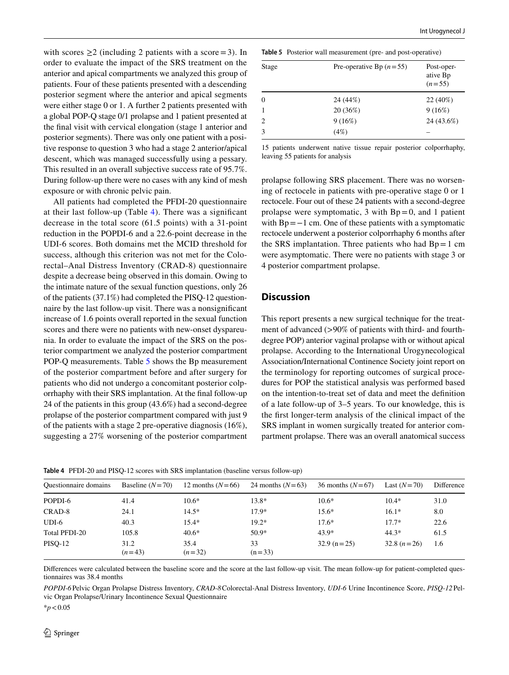with scores  $\geq$  2 (including 2 patients with a score = 3). In order to evaluate the impact of the SRS treatment on the anterior and apical compartments we analyzed this group of patients. Four of these patients presented with a descending posterior segment where the anterior and apical segments were either stage 0 or 1. A further 2 patients presented with a global POP-Q stage 0/1 prolapse and 1 patient presented at the fnal visit with cervical elongation (stage 1 anterior and posterior segments). There was only one patient with a positive response to question 3 who had a stage 2 anterior/apical descent, which was managed successfully using a pessary. This resulted in an overall subjective success rate of 95.7%. During follow-up there were no cases with any kind of mesh exposure or with chronic pelvic pain.

All patients had completed the PFDI-20 questionnaire at their last follow-up (Table [4\)](#page-5-0). There was a signifcant decrease in the total score (61.5 points) with a 31-point reduction in the POPDI-6 and a 22.6-point decrease in the UDI-6 scores. Both domains met the MCID threshold for success, although this criterion was not met for the Colorectal–Anal Distress Inventory (CRAD-8) questionnaire despite a decrease being observed in this domain. Owing to the intimate nature of the sexual function questions, only 26 of the patients (37.1%) had completed the PISQ-12 questionnaire by the last follow-up visit. There was a nonsignifcant increase of 1.6 points overall reported in the sexual function scores and there were no patients with new-onset dyspareunia. In order to evaluate the impact of the SRS on the posterior compartment we analyzed the posterior compartment POP-Q measurements. Table [5](#page-5-1) shows the Bp measurement of the posterior compartment before and after surgery for patients who did not undergo a concomitant posterior colporrhaphy with their SRS implantation. At the fnal follow-up 24 of the patients in this group (43.6%) had a second-degree prolapse of the posterior compartment compared with just 9 of the patients with a stage 2 pre-operative diagnosis (16%), suggesting a 27% worsening of the posterior compartment

<span id="page-5-1"></span>**Table 5** Posterior wall measurement (pre- and post-operative)

| Stage          | Pre-operative Bp $(n=55)$ | Post-oper-<br>ative Bp<br>$(n=55)$ |  |
|----------------|---------------------------|------------------------------------|--|
| $\Omega$       | 24 (44%)                  | $22(40\%)$                         |  |
| $\mathbf{1}$   | 20 (36%)                  | 9(16%)                             |  |
| $\overline{c}$ | 9(16%)                    | 24 (43.6%)                         |  |
| 3              | (4%)                      |                                    |  |

15 patients underwent native tissue repair posterior colporrhaphy, leaving 55 patients for analysis

prolapse following SRS placement. There was no worsening of rectocele in patients with pre-operative stage 0 or 1 rectocele. Four out of these 24 patients with a second-degree prolapse were symptomatic, 3 with  $Bp=0$ , and 1 patient with  $Bp=-1$  cm. One of these patients with a symptomatic rectocele underwent a posterior colporrhaphy 6 months after the SRS implantation. Three patients who had  $Bp=1$  cm were asymptomatic. There were no patients with stage 3 or 4 posterior compartment prolapse.

#### **Discussion**

This report presents a new surgical technique for the treatment of advanced (>90% of patients with third- and fourthdegree POP) anterior vaginal prolapse with or without apical prolapse. According to the International Urogynecological Association/International Continence Society joint report on the terminology for reporting outcomes of surgical procedures for POP the statistical analysis was performed based on the intention-to-treat set of data and meet the defnition of a late follow-up of 3–5 years. To our knowledge, this is the frst longer-term analysis of the clinical impact of the SRS implant in women surgically treated for anterior compartment prolapse. There was an overall anatomical success

<span id="page-5-0"></span>**Table 4** PFDI-20 and PISQ-12 scores with SRS implantation (baseline versus follow-up)

| <b>Ouestionnaire domains</b> | Baseline $(N=70)$ | 12 months $(N=66)$ | 24 months $(N=63)$ | 36 months $(N=67)$ | Last $(N=70)$ | Difference |
|------------------------------|-------------------|--------------------|--------------------|--------------------|---------------|------------|
| POPDI-6                      | 41.4              | $10.6*$            | $13.8*$            | $10.6*$            | $10.4*$       | 31.0       |
| CRAD-8                       | 24.1              | $14.5*$            | $17.9*$            | $15.6*$            | $16.1*$       | 8.0        |
| $UDI-6$                      | 40.3              | $15.4*$            | $19.2*$            | $17.6*$            | $17.7*$       | 22.6       |
| Total PFDI-20                | 105.8             | $40.6*$            | $50.9*$            | 43.9*              | $44.3*$       | 61.5       |
| <b>PISO-12</b>               | 31.2<br>$(n=43)$  | 35.4<br>$(n=32)$   | 33<br>$(n=33)$     | $32.9 (n=25)$      | 32.8 $(n=26)$ | 1.6        |

Diferences were calculated between the baseline score and the score at the last follow-up visit. The mean follow-up for patient-completed questionnaires was 38.4 months

*POPDI-6*Pelvic Organ Prolapse Distress Inventory, *CRAD-8*Colorectal-Anal Distress Inventory, *UDI-6* Urine Incontinence Score, *PISQ-12*Pelvic Organ Prolapse/Urinary Incontinence Sexual Questionnaire

\**p*<0.05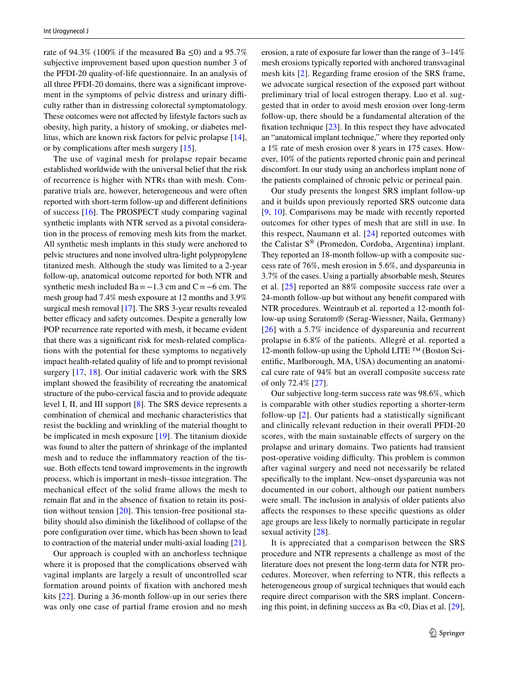rate of 94.3% (100% if the measured Ba  $\leq$ 0) and a 95.7% subjective improvement based upon question number 3 of the PFDI-20 quality-of-life questionnaire. In an analysis of all three PFDI-20 domains, there was a signifcant improvement in the symptoms of pelvic distress and urinary difficulty rather than in distressing colorectal symptomatology. These outcomes were not afected by lifestyle factors such as obesity, high parity, a history of smoking, or diabetes mellitus, which are known risk factors for pelvic prolapse [\[14](#page-8-8)], or by complications after mesh surgery [\[15](#page-8-9)].

The use of vaginal mesh for prolapse repair became established worldwide with the universal belief that the risk of recurrence is higher with NTRs than with mesh. Comparative trials are, however, heterogeneous and were often reported with short-term follow-up and diferent defnitions of success [[16\]](#page-8-10). The PROSPECT study comparing vaginal synthetic implants with NTR served as a pivotal consideration in the process of removing mesh kits from the market. All synthetic mesh implants in this study were anchored to pelvic structures and none involved ultra-light polypropylene titanized mesh. Although the study was limited to a 2-year follow-up, anatomical outcome reported for both NTR and synthetic mesh included  $Ba = -1.3$  cm and  $C = -6$  cm. The mesh group had 7.4% mesh exposure at 12 months and 3.9% surgical mesh removal [\[17](#page-8-11)]. The SRS 3-year results revealed better efficacy and safety outcomes. Despite a generally low POP recurrence rate reported with mesh, it became evident that there was a signifcant risk for mesh-related complications with the potential for these symptoms to negatively impact health-related quality of life and to prompt revisional surgery [[17](#page-8-11), [18](#page-8-12)]. Our initial cadaveric work with the SRS implant showed the feasibility of recreating the anatomical structure of the pubo-cervical fascia and to provide adequate level I, II, and III support [[8\]](#page-8-2). The SRS device represents a combination of chemical and mechanic characteristics that resist the buckling and wrinkling of the material thought to be implicated in mesh exposure [\[19\]](#page-8-13). The titanium dioxide was found to alter the pattern of shrinkage of the implanted mesh and to reduce the infammatory reaction of the tissue. Both effects tend toward improvements in the ingrowth process, which is important in mesh–tissue integration. The mechanical efect of the solid frame allows the mesh to remain fat and in the absence of fxation to retain its position without tension [[20\]](#page-8-14). This tension-free positional stability should also diminish the likelihood of collapse of the pore confguration over time, which has been shown to lead to contraction of the material under multi-axial loading [\[21](#page-8-15)].

Our approach is coupled with an anchorless technique where it is proposed that the complications observed with vaginal implants are largely a result of uncontrolled scar formation around points of fxation with anchored mesh kits [\[22](#page-8-16)]. During a 36-month follow-up in our series there was only one case of partial frame erosion and no mesh erosion, a rate of exposure far lower than the range of 3–14% mesh erosions typically reported with anchored transvaginal mesh kits [[2\]](#page-7-1). Regarding frame erosion of the SRS frame, we advocate surgical resection of the exposed part without preliminary trial of local estrogen therapy. Luo et al. suggested that in order to avoid mesh erosion over long-term follow-up, there should be a fundamental alteration of the fxation technique [[23\]](#page-8-17). In this respect they have advocated an "anatomical implant technique," where they reported only a 1% rate of mesh erosion over 8 years in 175 cases. However, 10% of the patients reported chronic pain and perineal discomfort. In our study using an anchorless implant none of the patients complained of chronic pelvic or perineal pain.

Our study presents the longest SRS implant follow-up and it builds upon previously reported SRS outcome data [[9,](#page-8-3) [10](#page-8-4)]. Comparisons may be made with recently reported outcomes for other types of mesh that are still in use. In this respect, Naumann et al. [[24](#page-8-18)] reported outcomes with the Calistar S® (Promedon, Cordoba, Argentina) implant. They reported an 18-month follow-up with a composite success rate of 76%, mesh erosion in 5.6%, and dyspareunia in 3.7% of the cases. Using a partially absorbable mesh, Steures et al. [[25](#page-8-19)] reported an 88% composite success rate over a 24-month follow-up but without any beneft compared with NTR procedures. Weintraub et al. reported a 12-month follow-up using Seratom® (Serag-Wiessner, Naila, Germany) [[26](#page-8-20)] with a 5.7% incidence of dyspareunia and recurrent prolapse in 6.8% of the patients. Allegré et al. reported a 12-month follow-up using the Uphold LITE ™ (Boston Scientifc, Marlborough, MA, USA) documenting an anatomical cure rate of 94% but an overall composite success rate of only 72.4% [\[27](#page-8-21)].

Our subjective long-term success rate was 98.6%, which is comparable with other studies reporting a shorter-term follow-up [\[2\]](#page-7-1). Our patients had a statistically signifcant and clinically relevant reduction in their overall PFDI-20 scores, with the main sustainable efects of surgery on the prolapse and urinary domains. Two patients had transient post-operative voiding difficulty. This problem is common after vaginal surgery and need not necessarily be related specifcally to the implant. New-onset dyspareunia was not documented in our cohort, although our patient numbers were small. The inclusion in analysis of older patients also afects the responses to these specifc questions as older age groups are less likely to normally participate in regular sexual activity [\[28\]](#page-8-22).

It is appreciated that a comparison between the SRS procedure and NTR represents a challenge as most of the literature does not present the long-term data for NTR procedures. Moreover, when referring to NTR, this refects a heterogeneous group of surgical techniques that would each require direct comparison with the SRS implant. Concerning this point, in defining success as  $Ba < 0$ , Dias et al. [\[29](#page-8-23)],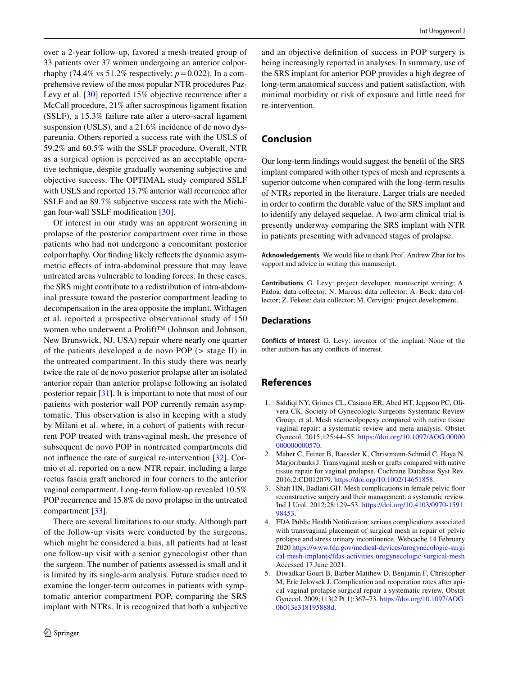over a 2-year follow-up, favored a mesh-treated group of 33 patients over 37 women undergoing an anterior colporrhaphy (74.4% vs 51.2% respectively;  $p = 0.022$ ). In a comprehensive review of the most popular NTR procedures Paz-Levy et al. [\[30\]](#page-8-24) reported 15% objective recurrence after a McCall procedure, 21% after sacrospinous ligament fxation (SSLF), a 15.3% failure rate after a utero-sacral ligament suspension (USLS), and a 21.6% incidence of de novo dyspareunia. Others reported a success rate with the USLS of 59.2% and 60.5% with the SSLF procedure. Overall, NTR as a surgical option is perceived as an acceptable operative technique, despite gradually worsening subjective and objective success. The OPTIMAL study compared SSLF with USLS and reported 13.7% anterior wall recurrence after SSLF and an 89.7% subjective success rate with the Michigan four-wall SSLF modifcation [\[30\]](#page-8-24).

Of interest in our study was an apparent worsening in prolapse of the posterior compartment over time in those patients who had not undergone a concomitant posterior colporrhaphy. Our fnding likely refects the dynamic asymmetric efects of intra-abdominal pressure that may leave untreated areas vulnerable to loading forces. In these cases, the SRS might contribute to a redistribution of intra-abdominal pressure toward the posterior compartment leading to decompensation in the area opposite the implant. Withagen et al. reported a prospective observational study of 150 women who underwent a Prolift™ (Johnson and Johnson, New Brunswick, NJ, USA) repair where nearly one quarter of the patients developed a de novo POP (> stage II) in the untreated compartment. In this study there was nearly twice the rate of de novo posterior prolapse after an isolated anterior repair than anterior prolapse following an isolated posterior repair [\[31\]](#page-8-25). It is important to note that most of our patients with posterior wall POP currently remain asymptomatic. This observation is also in keeping with a study by Milani et al. where, in a cohort of patients with recurrent POP treated with transvaginal mesh, the presence of subsequent de novo POP in nontreated compartments did not infuence the rate of surgical re-intervention [[32](#page-8-26)]. Cormio et al. reported on a new NTR repair, including a large rectus fascia graft anchored in four corners to the anterior vaginal compartment. Long-term follow-up revealed 10.5% POP recurrence and 15.8% de novo prolapse in the untreated compartment [\[33](#page-8-27)].

There are several limitations to our study. Although part of the follow-up visits were conducted by the surgeons, which might be considered a bias, all patients had at least one follow-up visit with a senior gynecologist other than the surgeon. The number of patients assessed is small and it is limited by its single-arm analysis. Future studies need to examine the longer-term outcomes in patients with symptomatic anterior compartment POP, comparing the SRS implant with NTRs. It is recognized that both a subjective

and an objective defnition of success in POP surgery is being increasingly reported in analyses. In summary, use of the SRS implant for anterior POP provides a high degree of long-term anatomical success and patient satisfaction, with minimal morbidity or risk of exposure and little need for re-intervention.

# **Conclusion**

Our long-term fndings would suggest the beneft of the SRS implant compared with other types of mesh and represents a superior outcome when compared with the long-term results of NTRs reported in the literature. Larger trials are needed in order to confrm the durable value of the SRS implant and to identify any delayed sequelae. A two-arm clinical trial is presently underway comparing the SRS implant with NTR in patients presenting with advanced stages of prolapse.

**Acknowledgements** We would like to thank Prof. Andrew Zbar for his support and advice in writing this manuscript.

**Contributions** G. Levy: project developer, manuscript writing; A. Padoa: data collector; N. Marcus: data collector; A. Beck: data collector; Z. Fekete: data collector; M. Cervigni: project development.

#### **Declarations**

**Conflicts of interest** G. Levy: inventor of the implant. None of the other authors has any conficts of interest.

## **References**

- <span id="page-7-0"></span>1. Siddiqi NY, Grimes CL, Casiano ER, Abed HT, Jeppson PC, Olivera CK, Society of Gynecologic Surgeons Systematic Review Group, et al. Mesh sacrocolpopexy compared with native tissue vaginal repair: a systematic review and meta-analysis. Obstet Gynecol. 2015;125:44–55. [https://doi.org/10.1097/AOG.00000](https://doi.org/10.1097/AOG.00000000000000570) [000000000570.](https://doi.org/10.1097/AOG.00000000000000570)
- <span id="page-7-1"></span>2. Maher C, Feiner B, Baessler K, Christmann-Schmid C, Haya N, Marjoribanks J. Transvaginal mesh or grafts compared with native tissue repair for vaginal prolapse. Cochrane Database Syst Rev. 2016;2:CD012079. [https://doi.org/10.1002/14651858.](https://doi.org/10.1002/14651858)
- <span id="page-7-2"></span>3. Shah HN, Badlani GH. Mesh complications in female pelvic foor reconstructive surgery and their management: a systematic review. Ind J Urol. 2012;28:129–53. [https://doi.org/10.4103/0970-1591.](https://doi.org/10.4103/0970-1591.98453) [98453.](https://doi.org/10.4103/0970-1591.98453)
- <span id="page-7-3"></span>4. FDA Public Health Notifcation: serious complications associated with transvaginal placement of surgical mesh in repair of pelvic prolapse and stress urinary incontinence. Webcache 14 February 2020 [https://www.fda.gov/medical-devices/urogynecologic-surgi](https://www.fda.gov/medical-devices/urogynecologic-surgical-mesh-implants/fdas-activities-urogynecologic-surgical-mesh) [cal-mesh-implants/fdas-activities-urogynecologic-surgical-mesh](https://www.fda.gov/medical-devices/urogynecologic-surgical-mesh-implants/fdas-activities-urogynecologic-surgical-mesh) Accessed 17 June 2021.
- <span id="page-7-4"></span>5. Diwadkar Gouri B, Barber Matthew D, Benjamin F, Christopher M, Eric Jelovsek J. Complication and reoperation rates after apical vaginal prolapse surgical repair a systematic review. Obstet Gynecol. 2009;113(2 Pt 1):367–73. [https://doi.org/10.1097/AOG.](https://doi.org/10.1097/AOG.0b013e318195888d) [0b013e318195888d](https://doi.org/10.1097/AOG.0b013e318195888d).